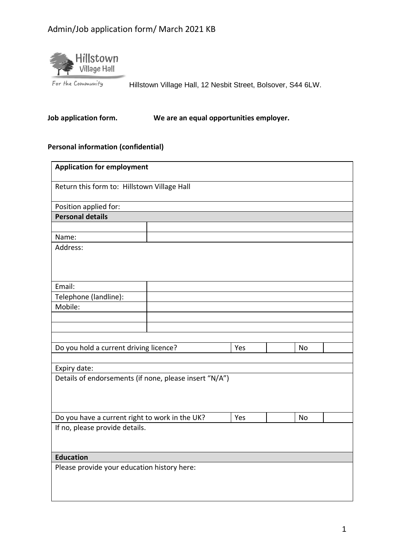# Admin/Job application form/ March 2021 KB



Hillstown Village Hall, 12 Nesbit Street, Bolsover, S44 6LW.

**Job application form. We are an equal opportunities employer.**

#### **Personal information (confidential)**

| <b>Application for employment</b>                      |  |     |           |  |
|--------------------------------------------------------|--|-----|-----------|--|
| Return this form to: Hillstown Village Hall            |  |     |           |  |
| Position applied for:                                  |  |     |           |  |
| <b>Personal details</b>                                |  |     |           |  |
|                                                        |  |     |           |  |
| Name:                                                  |  |     |           |  |
| Address:                                               |  |     |           |  |
| Email:                                                 |  |     |           |  |
| Telephone (landline):                                  |  |     |           |  |
| Mobile:                                                |  |     |           |  |
|                                                        |  |     |           |  |
|                                                        |  |     |           |  |
|                                                        |  |     |           |  |
| Do you hold a current driving licence?                 |  | Yes | <b>No</b> |  |
|                                                        |  |     |           |  |
| Expiry date:                                           |  |     |           |  |
| Details of endorsements (if none, please insert "N/A") |  |     |           |  |
| Do you have a current right to work in the UK?         |  | Yes | <b>No</b> |  |
| If no, please provide details.                         |  |     |           |  |
| <b>Education</b>                                       |  |     |           |  |
| Please provide your education history here:            |  |     |           |  |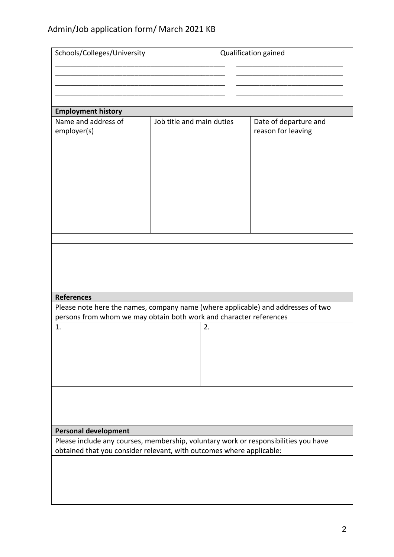# Admin/Job application form/ March 2021 KB

| Schools/Colleges/University<br>Qualification gained                                                                |                                                                                  |                       |  |  |
|--------------------------------------------------------------------------------------------------------------------|----------------------------------------------------------------------------------|-----------------------|--|--|
|                                                                                                                    |                                                                                  |                       |  |  |
|                                                                                                                    |                                                                                  |                       |  |  |
|                                                                                                                    |                                                                                  |                       |  |  |
|                                                                                                                    |                                                                                  |                       |  |  |
| <b>Employment history</b>                                                                                          |                                                                                  |                       |  |  |
| Name and address of                                                                                                | Job title and main duties                                                        | Date of departure and |  |  |
| employer(s)                                                                                                        |                                                                                  | reason for leaving    |  |  |
|                                                                                                                    |                                                                                  |                       |  |  |
|                                                                                                                    |                                                                                  |                       |  |  |
|                                                                                                                    |                                                                                  |                       |  |  |
|                                                                                                                    |                                                                                  |                       |  |  |
|                                                                                                                    |                                                                                  |                       |  |  |
|                                                                                                                    |                                                                                  |                       |  |  |
|                                                                                                                    |                                                                                  |                       |  |  |
|                                                                                                                    |                                                                                  |                       |  |  |
|                                                                                                                    |                                                                                  |                       |  |  |
|                                                                                                                    |                                                                                  |                       |  |  |
|                                                                                                                    |                                                                                  |                       |  |  |
|                                                                                                                    |                                                                                  |                       |  |  |
|                                                                                                                    |                                                                                  |                       |  |  |
|                                                                                                                    |                                                                                  |                       |  |  |
| <b>References</b>                                                                                                  |                                                                                  |                       |  |  |
|                                                                                                                    | Please note here the names, company name (where applicable) and addresses of two |                       |  |  |
| persons from whom we may obtain both work and character references                                                 |                                                                                  |                       |  |  |
| 1.                                                                                                                 | 2.                                                                               |                       |  |  |
|                                                                                                                    |                                                                                  |                       |  |  |
|                                                                                                                    |                                                                                  |                       |  |  |
|                                                                                                                    |                                                                                  |                       |  |  |
|                                                                                                                    |                                                                                  |                       |  |  |
|                                                                                                                    |                                                                                  |                       |  |  |
|                                                                                                                    |                                                                                  |                       |  |  |
|                                                                                                                    |                                                                                  |                       |  |  |
|                                                                                                                    |                                                                                  |                       |  |  |
|                                                                                                                    |                                                                                  |                       |  |  |
| <b>Personal development</b><br>Please include any courses, membership, voluntary work or responsibilities you have |                                                                                  |                       |  |  |
| obtained that you consider relevant, with outcomes where applicable:                                               |                                                                                  |                       |  |  |
|                                                                                                                    |                                                                                  |                       |  |  |
|                                                                                                                    |                                                                                  |                       |  |  |
|                                                                                                                    |                                                                                  |                       |  |  |
|                                                                                                                    |                                                                                  |                       |  |  |
|                                                                                                                    |                                                                                  |                       |  |  |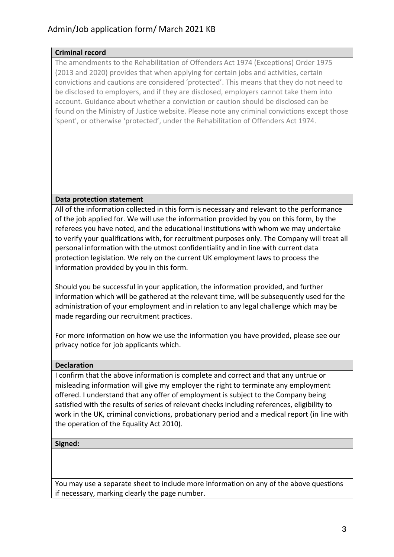#### **Criminal record**

The amendments to the Rehabilitation of Offenders Act 1974 (Exceptions) Order 1975 (2013 and 2020) provides that when applying for certain jobs and activities, certain convictions and cautions are considered 'protected'. This means that they do not need to be disclosed to employers, and if they are disclosed, employers cannot take them into account. Guidance about whether a conviction or caution should be disclosed can be found on the Ministry of Justice website. Please note any criminal convictions except those 'spent', or otherwise 'protected', under the Rehabilitation of Offenders Act 1974.

## **Data protection statement**

All of the information collected in this form is necessary and relevant to the performance of the job applied for. We will use the information provided by you on this form, by the referees you have noted, and the educational institutions with whom we may undertake to verify your qualifications with, for recruitment purposes only. The Company will treat all personal information with the utmost confidentiality and in line with current data protection legislation. We rely on the current UK employment laws to process the information provided by you in this form.

Should you be successful in your application, the information provided, and further information which will be gathered at the relevant time, will be subsequently used for the administration of your employment and in relation to any legal challenge which may be made regarding our recruitment practices.

For more information on how we use the information you have provided, please see our privacy notice for job applicants which.

## **Declaration**

I confirm that the above information is complete and correct and that any untrue or misleading information will give my employer the right to terminate any employment offered. I understand that any offer of employment is subject to the Company being satisfied with the results of series of relevant checks including references, eligibility to work in the UK, criminal convictions, probationary period and a medical report (in line with the operation of the Equality Act 2010).

#### **Signed:**

You may use a separate sheet to include more information on any of the above questions if necessary, marking clearly the page number.